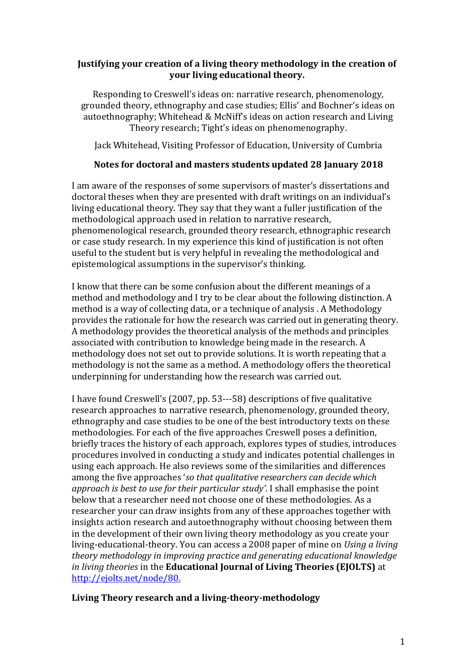## **Justifying your creation of a living theory methodology in the creation of your living educational theory.**

Responding to Creswell's ideas on: narrative research, phenomenology, grounded theory, ethnography and case studies; Ellis' and Bochner's ideas on autoethnography; Whitehead & McNiff's ideas on action research and Living Theory research; Tight's ideas on phenomenography.

Jack Whitehead, Visiting Professor of Education, University of Cumbria

## **Notes for doctoral and masters students updated 28 January 2018**

I am aware of the responses of some supervisors of master's dissertations and doctoral theses when they are presented with draft writings on an individual's living educational theory. They say that they want a fuller justification of the methodological approach used in relation to narrative research, phenomenological research, grounded theory research, ethnographic research or case study research. In my experience this kind of justification is not often useful to the student but is very helpful in revealing the methodological and epistemological assumptions in the supervisor's thinking.

I know that there can be some confusion about the different meanings of a method and methodology and I try to be clear about the following distinction. A method is a way of collecting data, or a technique of analysis . A Methodology provides the rationale for how the research was carried out in generating theory. A methodology provides the theoretical analysis of the methods and principles associated with contribution to knowledge being made in the research. A methodology does not set out to provide solutions. It is worth repeating that a methodology is not the same as a method. A methodology offers the theoretical underpinning for understanding how the research was carried out.

I have found Creswell's (2007, pp. 53---58) descriptions of five qualitative research approaches to narrative research, phenomenology, grounded theory, ethnography and case studies to be one of the best introductory texts on these methodologies. For each of the five approaches Creswell poses a definition, briefly traces the history of each approach, explores types of studies, introduces procedures involved in conducting a study and indicates potential challenges in using each approach. He also reviews some of the similarities and differences among the five approaches '*so that qualitative researchers can decide which approach is best to use for their particular study'*. I shall emphasise the point below that a researcher need not choose one of these methodologies. As a researcher your can draw insights from any of these approaches together with insights action research and autoethnography without choosing between them in the development of their own living theory methodology as you create your living-educational-theory. You can access a 2008 paper of mine on *Using a living theory methodology in improving practice and generating educational knowledge in living theories* in the **Educational Journal of Living Theories (EJOLTS)** at <http://ejolts.net/node/80.>

**Living Theory research and a living-theory-methodology**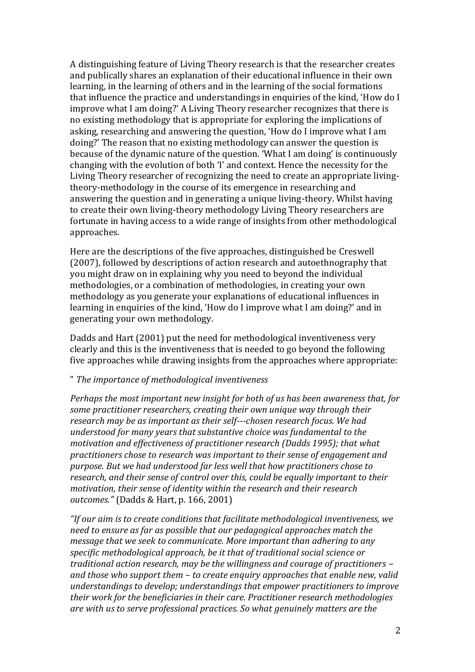A distinguishing feature of Living Theory research is that the researcher creates and publically shares an explanation of their educational influence in their own learning, in the learning of others and in the learning of the social formations that influence the practice and understandings in enquiries of the kind, 'How do I improve what I am doing?' A Living Theory researcher recognizes that there is no existing methodology that is appropriate for exploring the implications of asking, researching and answering the question, 'How do I improve what I am doing?' The reason that no existing methodology can answer the question is because of the dynamic nature of the question. 'What I am doing' is continuously changing with the evolution of both 'I' and context. Hence the necessity for the Living Theory researcher of recognizing the need to create an appropriate livingtheory-methodology in the course of its emergence in researching and answering the question and in generating a unique living-theory. Whilst having to create their own living-theory methodology Living Theory researchers are fortunate in having access to a wide range of insights from other methodological approaches.

Here are the descriptions of the five approaches, distinguished be Creswell (2007), followed by descriptions of action research and autoethnography that you might draw on in explaining why you need to beyond the individual methodologies, or a combination of methodologies, in creating your own methodology as you generate your explanations of educational influences in learning in enquiries of the kind, 'How do I improve what I am doing?' and in generating your own methodology.

Dadds and Hart (2001) put the need for methodological inventiveness very clearly and this is the inventiveness that is needed to go beyond the following five approaches while drawing insights from the approaches where appropriate:

#### " *The importance of methodological inventiveness*

*Perhaps the most important new insight for both of us has been awareness that, for some practitioner researchers, creating their own unique way through their research may be as important as their self-chosen research focus. We had understood for many years that substantive choice was fundamental to the motivation and effectiveness of practitioner research (Dadds 1995); that what practitioners chose to research was important to their sense of engagement and purpose. But we had understood far less well that how practitioners chose to research, and their sense of control over this, could be equally important to their motivation, their sense of identity within the research and their research outcomes."* (Dadds & Hart, p. 166, 2001)

*"If our aim is to create conditions that facilitate methodological inventiveness, we need to ensure as far as possible that our pedagogical approaches match the message that we seek to communicate. More important than adhering to any specific methodological approach, be it that of traditional social science or traditional action research, may be the willingness and courage of practitioners – and those who support them – to create enquiry approaches that enable new, valid understandings to develop; understandings that empower practitioners to improve their work for the beneficiaries in their care. Practitioner research methodologies are with us to serve professional practices. So what genuinely matters are the*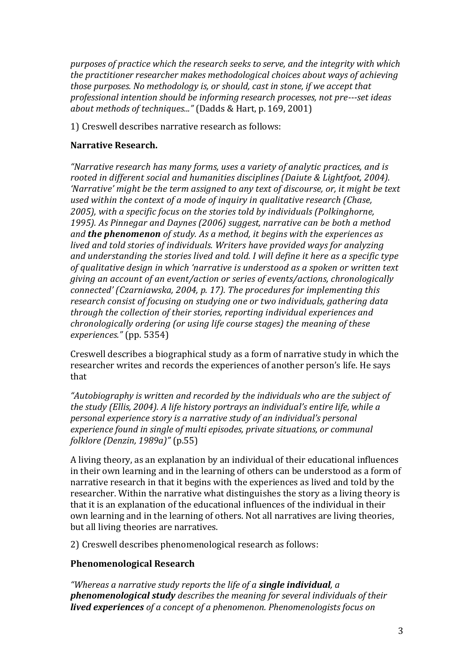*purposes of practice which the research seeks to serve, and the integrity with which the practitioner researcher makes methodological choices about ways of achieving those purposes. No methodology is, or should, cast in stone, if we accept that professional intention should be informing research processes, not pre-set ideas about methods of techniques..."* (Dadds & Hart, p. 169, 2001)

1) Creswell describes narrative research as follows:

## **Narrative Research.**

*"Narrative research has many forms, uses a variety of analytic practices, and is rooted in different social and humanities disciplines (Daiute & Lightfoot, 2004). 'Narrative' might be the term assigned to any text of discourse, or, it might be text used within the context of a mode of inquiry in qualitative research (Chase, 2005), with a specific focus on the stories told by individuals (Polkinghorne, 1995). As Pinnegar and Daynes (2006) suggest, narrative can be both a method and the phenomenon of study. As a method, it begins with the experiences as lived and told stories of individuals. Writers have provided ways for analyzing and understanding the stories lived and told. I will define it here as a specific type of qualitative design in which 'narrative is understood as a spoken or written text giving an account of an event/action or series of events/actions, chronologically connected' (Czarniawska, 2004, p. 17). The procedures for implementing this research consist of focusing on studying one or two individuals, gathering data through the collection of their stories, reporting individual experiences and chronologically ordering (or using life course stages) the meaning of these experiences."* (pp. 5354)

Creswell describes a biographical study as a form of narrative study in which the researcher writes and records the experiences of another person's life. He says that

*"Autobiography is written and recorded by the individuals who are the subject of the study (Ellis, 2004). A life history portrays an individual's entire life, while a personal experience story is a narrative study of an individual's personal experience found in single of multi episodes, private situations, or communal folklore (Denzin, 1989a)"* (p.55)

A living theory, as an explanation by an individual of their educational influences in their own learning and in the learning of others can be understood as a form of narrative research in that it begins with the experiences as lived and told by the researcher. Within the narrative what distinguishes the story as a living theory is that it is an explanation of the educational influences of the individual in their own learning and in the learning of others. Not all narratives are living theories, but all living theories are narratives.

2) Creswell describes phenomenological research as follows:

#### **Phenomenological Research**

*"Whereas a narrative study reports the life of a single individual, a phenomenological study describes the meaning for several individuals of their lived experiences of a concept of a phenomenon. Phenomenologists focus on*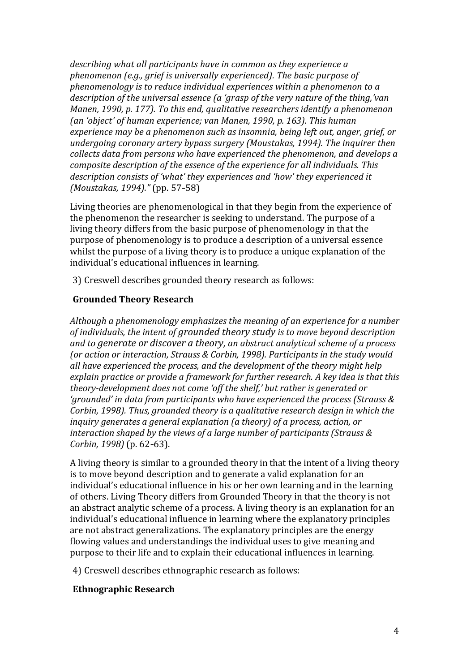*describing what all participants have in common as they experience a phenomenon (e.g., grief is universally experienced). The basic purpose of phenomenology is to reduce individual experiences within a phenomenon to a description of the universal essence (a 'grasp of the very nature of the thing,'van Manen, 1990, p. 177). To this end, qualitative researchers identify a phenomenon (an 'object' of human experience; van Manen, 1990, p. 163). This human experience may be a phenomenon such as insomnia, being left out, anger, grief, or undergoing coronary artery bypass surgery (Moustakas, 1994). The inquirer then collects data from persons who have experienced the phenomenon, and develops a composite description of the essence of the experience for all individuals. This description consists of 'what' they experiences and 'how' they experienced it (Moustakas, 1994)."* (pp. 57-58)

Living theories are phenomenological in that they begin from the experience of the phenomenon the researcher is seeking to understand. The purpose of a living theory differs from the basic purpose of phenomenology in that the purpose of phenomenology is to produce a description of a universal essence whilst the purpose of a living theory is to produce a unique explanation of the individual's educational influences in learning.

3) Creswell describes grounded theory research as follows:

#### **Grounded Theory Research**

*Although a phenomenology emphasizes the meaning of an experience for a number of individuals, the intent of grounded theory study is to move beyond description and to generate or discover a theory, an abstract analytical scheme of a process (or action or interaction, Strauss & Corbin, 1998). Participants in the study would all have experienced the process, and the development of the theory might help explain practice or provide a framework for further research. A key idea is that this theory-development does not come 'off the shelf,' but rather is generated or 'grounded' in data from participants who have experienced the process (Strauss & Corbin, 1998). Thus, grounded theory is a qualitative research design in which the inquiry generates a general explanation (a theory) of a process, action, or interaction shaped by the views of a large number of participants (Strauss & Corbin, 1998)* (p. 62-63).

A living theory is similar to a grounded theory in that the intent of a living theory is to move beyond description and to generate a valid explanation for an individual's educational influence in his or her own learning and in the learning of others. Living Theory differs from Grounded Theory in that the theory is not an abstract analytic scheme of a process. A living theory is an explanation for an individual's educational influence in learning where the explanatory principles are not abstract generalizations. The explanatory principles are the energy flowing values and understandings the individual uses to give meaning and purpose to their life and to explain their educational influences in learning.

4) Creswell describes ethnographic research as follows:

#### **Ethnographic Research**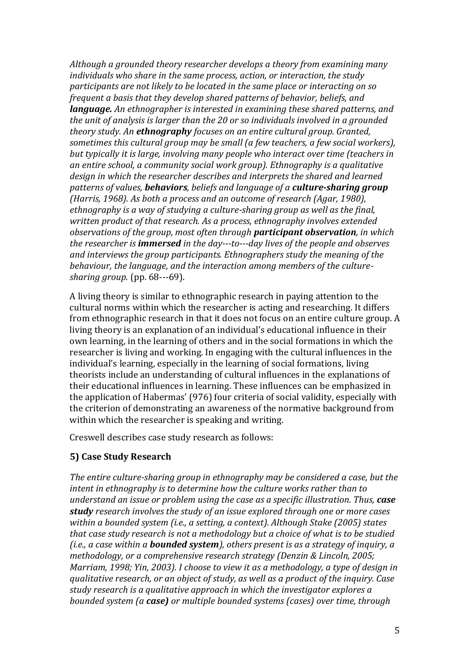*Although a grounded theory researcher develops a theory from examining many individuals who share in the same process, action, or interaction, the study participants are not likely to be located in the same place or interacting on so frequent a basis that they develop shared patterns of behavior, beliefs, and language. An ethnographer is interested in examining these shared patterns, and the unit of analysis is larger than the 20 or so individuals involved in a grounded theory study. An ethnography focuses on an entire cultural group. Granted, sometimes this cultural group may be small (a few teachers, a few social workers), but typically it is large, involving many people who interact over time (teachers in an entire school, a community social work group). Ethnography is a qualitative design in which the researcher describes and interprets the shared and learned patterns of values, behaviors, beliefs and language of a culture-sharing group (Harris, 1968). As both a process and an outcome of research (Agar, 1980), ethnography is a way of studying a culture-sharing group as well as the final, written product of that research. As a process, ethnography involves extended observations of the group, most often through participant observation, in which the researcher is immersed in the day-to-day lives of the people and observes and interviews the group participants. Ethnographers study the meaning of the behaviour, the language, and the interaction among members of the culturesharing group.* (pp. 68---69).

A living theory is similar to ethnographic research in paying attention to the cultural norms within which the researcher is acting and researching. It differs from ethnographic research in that it does not focus on an entire culture group. A living theory is an explanation of an individual's educational influence in their own learning, in the learning of others and in the social formations in which the researcher is living and working. In engaging with the cultural influences in the individual's learning, especially in the learning of social formations, living theorists include an understanding of cultural influences in the explanations of their educational influences in learning. These influences can be emphasized in the application of Habermas' (976) four criteria of social validity, especially with the criterion of demonstrating an awareness of the normative background from within which the researcher is speaking and writing.

Creswell describes case study research as follows:

# **5) Case Study Research**

*The entire culture-sharing group in ethnography may be considered a case, but the intent in ethnography is to determine how the culture works rather than to understand an issue or problem using the case as a specific illustration. Thus, case study research involves the study of an issue explored through one or more cases within a bounded system (i.e., a setting, a context). Although Stake (2005) states that case study research is not a methodology but a choice of what is to be studied (i.e., a case within a bounded system), others present is as a strategy of inquiry, a methodology, or a comprehensive research strategy (Denzin & Lincoln, 2005; Marriam, 1998; Yin, 2003). I choose to view it as a methodology, a type of design in qualitative research, or an object of study, as well as a product of the inquiry. Case study research is a qualitative approach in which the investigator explores a bounded system (a case) or multiple bounded systems (cases) over time, through*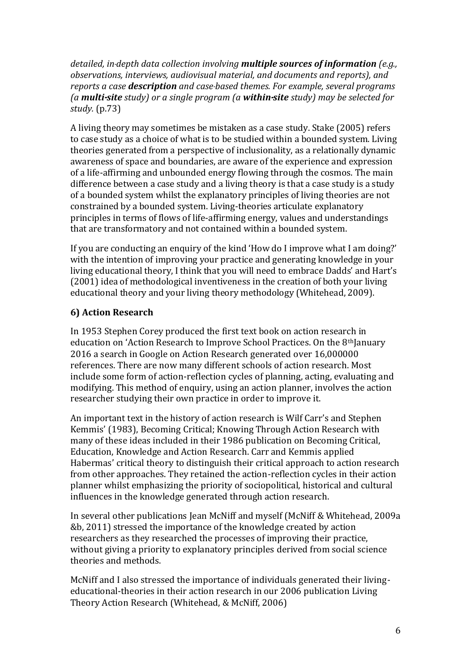*detailed, in-depth data collection involving multiple sources of information (e.g., observations, interviews, audiovisual material, and documents and reports), and reports a case description and case-based themes. For example, several programs (a multi-site study) or a single program (a within-site study) may be selected for study.* (p.73)

A living theory may sometimes be mistaken as a case study. Stake (2005) refers to case study as a choice of what is to be studied within a bounded system. Living theories generated from a perspective of inclusionality, as a relationally dynamic awareness of space and boundaries, are aware of the experience and expression of a life-affirming and unbounded energy flowing through the cosmos. The main difference between a case study and a living theory is that a case study is a study of a bounded system whilst the explanatory principles of living theories are not constrained by a bounded system. Living-theories articulate explanatory principles in terms of flows of life-affirming energy, values and understandings that are transformatory and not contained within a bounded system.

If you are conducting an enquiry of the kind 'How do I improve what I am doing?' with the intention of improving your practice and generating knowledge in your living educational theory, I think that you will need to embrace Dadds' and Hart's (2001) idea of methodological inventiveness in the creation of both your living educational theory and your living theory methodology (Whitehead, 2009).

## **6) Action Research**

In 1953 Stephen Corey produced the first text book on action research in education on 'Action Research to Improve School Practices. On the 8<sup>th</sup>January 2016 a search in Google on Action Research generated over 16,000000 references. There are now many different schools of action research. Most include some form of action-reflection cycles of planning, acting, evaluating and modifying. This method of enquiry, using an action planner, involves the action researcher studying their own practice in order to improve it.

An important text in the history of action research is Wilf Carr's and Stephen Kemmis' (1983), Becoming Critical; Knowing Through Action Research with many of these ideas included in their 1986 publication on Becoming Critical, Education, Knowledge and Action Research. Carr and Kemmis applied Habermas' critical theory to distinguish their critical approach to action research from other approaches. They retained the action-reflection cycles in their action planner whilst emphasizing the priority of sociopolitical, historical and cultural influences in the knowledge generated through action research.

In several other publications Jean McNiff and myself (McNiff & Whitehead, 2009a &b, 2011) stressed the importance of the knowledge created by action researchers as they researched the processes of improving their practice, without giving a priority to explanatory principles derived from social science theories and methods.

McNiff and I also stressed the importance of individuals generated their livingeducational-theories in their action research in our 2006 publication Living Theory Action Research (Whitehead, & McNiff, 2006)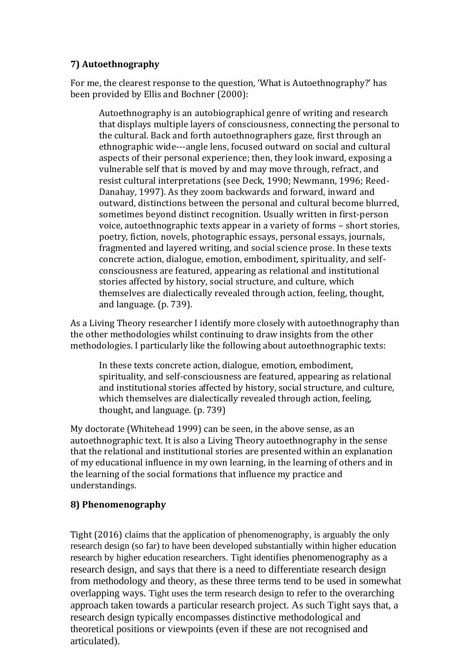# **7) Autoethnography**

For me, the clearest response to the question, 'What is Autoethnography?' has been provided by Ellis and Bochner (2000):

Autoethnography is an autobiographical genre of writing and research that displays multiple layers of consciousness, connecting the personal to the cultural. Back and forth autoethnographers gaze, first through an ethnographic wide---angle lens, focused outward on social and cultural aspects of their personal experience; then, they look inward, exposing a vulnerable self that is moved by and may move through, refract, and resist cultural interpretations (see Deck, 1990; Newmann, 1996; Reed-Danahay, 1997). As they zoom backwards and forward, inward and outward, distinctions between the personal and cultural become blurred, sometimes beyond distinct recognition. Usually written in first-person voice, autoethnographic texts appear in a variety of forms – short stories, poetry, fiction, novels, photographic essays, personal essays, journals, fragmented and layered writing, and social science prose. In these texts concrete action, dialogue, emotion, embodiment, spirituality, and selfconsciousness are featured, appearing as relational and institutional stories affected by history, social structure, and culture, which themselves are dialectically revealed through action, feeling, thought, and language. (p. 739).

As a Living Theory researcher I identify more closely with autoethnography than the other methodologies whilst continuing to draw insights from the other methodologies. I particularly like the following about autoethnographic texts:

In these texts concrete action, dialogue, emotion, embodiment, spirituality, and self-consciousness are featured, appearing as relational and institutional stories affected by history, social structure, and culture, which themselves are dialectically revealed through action, feeling, thought, and language. (p. 739)

My doctorate (Whitehead 1999) can be seen, in the above sense, as an autoethnographic text. It is also a Living Theory autoethnography in the sense that the relational and institutional stories are presented within an explanation of my educational influence in my own learning, in the learning of others and in the learning of the social formations that influence my practice and understandings.

# **8) Phenomenography**

Tight (2016) claims that the application of phenomenography, is arguably the only research design (so far) to have been developed substantially within higher education research by higher education researchers. Tight identifies phenomenography as a research design, and says that there is a need to differentiate research design from methodology and theory, as these three terms tend to be used in somewhat overlapping ways. Tight uses the term research design to refer to the overarching approach taken towards a particular research project. As such Tight says that, a research design typically encompasses distinctive methodological and theoretical positions or viewpoints (even if these are not recognised and articulated).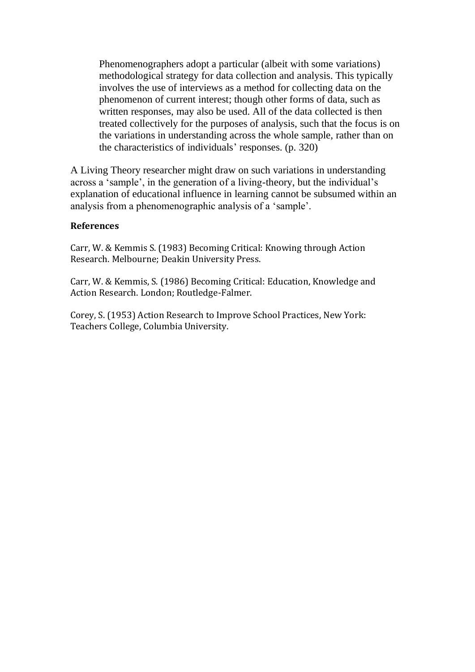Phenomenographers adopt a particular (albeit with some variations) methodological strategy for data collection and analysis. This typically involves the use of interviews as a method for collecting data on the phenomenon of current interest; though other forms of data, such as written responses, may also be used. All of the data collected is then treated collectively for the purposes of analysis, such that the focus is on the variations in understanding across the whole sample, rather than on the characteristics of individuals' responses. (p. 320)

A Living Theory researcher might draw on such variations in understanding across a 'sample', in the generation of a living-theory, but the individual's explanation of educational influence in learning cannot be subsumed within an analysis from a phenomenographic analysis of a 'sample'.

#### **References**

Carr, W. & Kemmis S. (1983) Becoming Critical: Knowing through Action Research. Melbourne; Deakin University Press.

Carr, W. & Kemmis, S. (1986) Becoming Critical: Education, Knowledge and Action Research. London; Routledge-Falmer.

Corey, S. (1953) Action Research to Improve School Practices, New York: Teachers College, Columbia University.